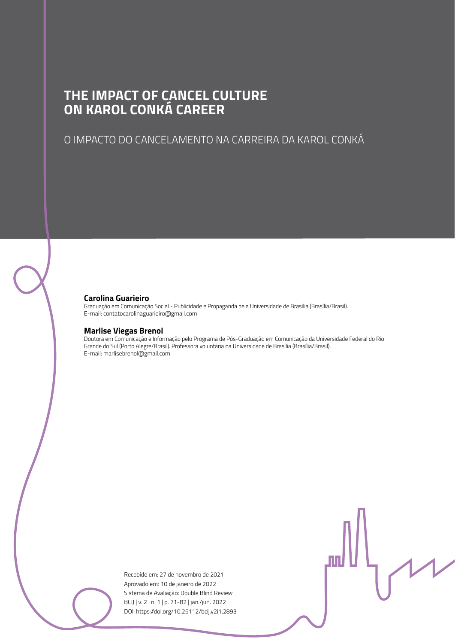### **THE IMPACT OF CANCEL CULTURE ON KAROL CONKÁ CAREER**

### O IMPACTO DO CANCELAMENTO NA CARREIRA DA KAROL CONKÁ

#### **Carolina Guarieiro**

Graduação em Comunicação Social - Publicidade e Propaganda pela Universidade de Brasília (Brasília/Brasil). E-mail: contatocarolinaguarieiro@gmail.com

#### **Marlise Viegas Brenol**

Doutora em Comunicação e Informação pelo Programa de Pós-Graduação em Comunicação da Universidade Federal do Rio Grande do Sul (Porto Alegre/Brasil). Professora voluntária na Universidade de Brasília (Brasília/Brasil). E-mail: marlisebrenol@gmail.com

> Recebido em: 27 de novembro de 2021 Aprovado em: 10 de janeiro de 2022 Sistema de Avaliação: Double Blind Review BCIJ | v. 2 | n. 1 | p. 71-82 | jan./jun. 2022 DOI: https://doi.org/10.25112/bcij.v2i1.2893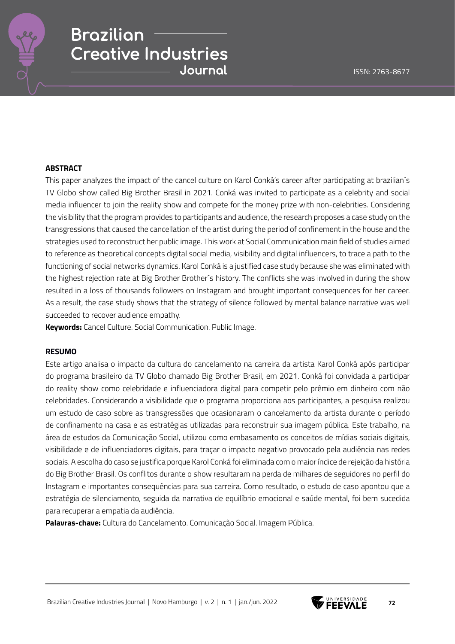#### **ABSTRACT**

This paper analyzes the impact of the cancel culture on Karol Conká's career after participating at brazilian´s TV Globo show called Big Brother Brasil in 2021. Conká was invited to participate as a celebrity and social media influencer to join the reality show and compete for the money prize with non-celebrities. Considering the visibility that the program provides to participants and audience, the research proposes a case study on the transgressions that caused the cancellation of the artist during the period of confinement in the house and the strategies used to reconstruct her public image. This work at Social Communication main field of studies aimed to reference as theoretical concepts digital social media, visibility and digital influencers, to trace a path to the functioning of social networks dynamics. Karol Conká is a justified case study because she was eliminated with the highest rejection rate at Big Brother Brother´s history. The conflicts she was involved in during the show resulted in a loss of thousands followers on Instagram and brought important consequences for her career. As a result, the case study shows that the strategy of silence followed by mental balance narrative was well succeeded to recover audience empathy.

**Keywords:** Cancel Culture. Social Communication. Public Image.

#### **RESUMO**

Este artigo analisa o impacto da cultura do cancelamento na carreira da artista Karol Conká após participar do programa brasileiro da TV Globo chamado Big Brother Brasil, em 2021. Conká foi convidada a participar do reality show como celebridade e influenciadora digital para competir pelo prêmio em dinheiro com não celebridades. Considerando a visibilidade que o programa proporciona aos participantes, a pesquisa realizou um estudo de caso sobre as transgressões que ocasionaram o cancelamento da artista durante o período de confinamento na casa e as estratégias utilizadas para reconstruir sua imagem pública. Este trabalho, na área de estudos da Comunicação Social, utilizou como embasamento os conceitos de mídias sociais digitais, visibilidade e de influenciadores digitais, para traçar o impacto negativo provocado pela audiência nas redes sociais. A escolha do caso se justifica porque Karol Conká foi eliminada com o maior índice de rejeição da história do Big Brother Brasil. Os conflitos durante o show resultaram na perda de milhares de seguidores no perfil do Instagram e importantes consequências para sua carreira. Como resultado, o estudo de caso apontou que a estratégia de silenciamento, seguida da narrativa de equilíbrio emocional e saúde mental, foi bem sucedida para recuperar a empatia da audiência.

**Palavras-chave:** Cultura do Cancelamento. Comunicação Social. Imagem Pública.

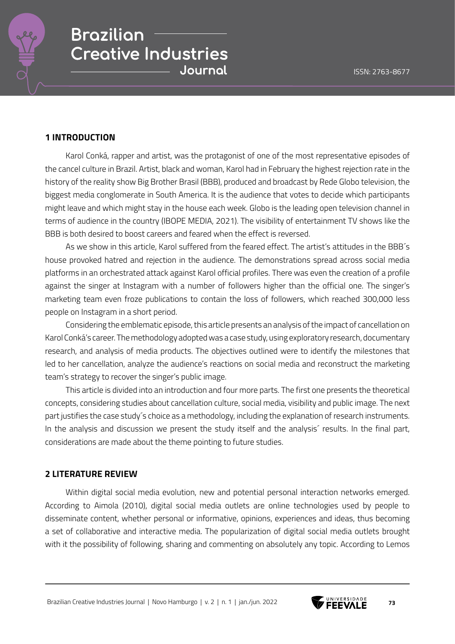

### **1 INTRODUCTION**

Karol Conká, rapper and artist, was the protagonist of one of the most representative episodes of the cancel culture in Brazil. Artist, black and woman, Karol had in February the highest rejection rate in the history of the reality show Big Brother Brasil (BBB), produced and broadcast by Rede Globo television, the biggest media conglomerate in South America. It is the audience that votes to decide which participants might leave and which might stay in the house each week. Globo is the leading open television channel in terms of audience in the country (IBOPE MEDIA, 2021). The visibility of entertainment TV shows like the BBB is both desired to boost careers and feared when the effect is reversed.

As we show in this article, Karol suffered from the feared effect. The artist's attitudes in the BBB´s house provoked hatred and rejection in the audience. The demonstrations spread across social media platforms in an orchestrated attack against Karol official profiles. There was even the creation of a profile against the singer at Instagram with a number of followers higher than the official one. The singer's marketing team even froze publications to contain the loss of followers, which reached 300,000 less people on Instagram in a short period.

Considering the emblematic episode, this article presents an analysis of the impact of cancellation on Karol Conká's career. The methodology adopted was a case study, using exploratory research, documentary research, and analysis of media products. The objectives outlined were to identify the milestones that led to her cancellation, analyze the audience's reactions on social media and reconstruct the marketing team's strategy to recover the singer's public image.

This article is divided into an introduction and four more parts. The first one presents the theoretical concepts, considering studies about cancellation culture, social media, visibility and public image. The next part justifies the case study´s choice as a methodology, including the explanation of research instruments. In the analysis and discussion we present the study itself and the analysis<sup>2</sup> results. In the final part, considerations are made about the theme pointing to future studies.

### **2 LITERATURE REVIEW**

Within digital social media evolution, new and potential personal interaction networks emerged. According to Aimola (2010), digital social media outlets are online technologies used by people to disseminate content, whether personal or informative, opinions, experiences and ideas, thus becoming a set of collaborative and interactive media. The popularization of digital social media outlets brought with it the possibility of following, sharing and commenting on absolutely any topic. According to Lemos

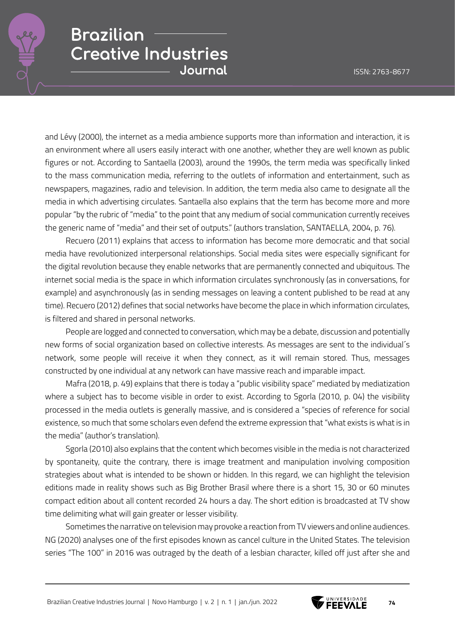

and Lévy (2000), the internet as a media ambience supports more than information and interaction, it is an environment where all users easily interact with one another, whether they are well known as public figures or not. According to Santaella (2003), around the 1990s, the term media was specifically linked to the mass communication media, referring to the outlets of information and entertainment, such as newspapers, magazines, radio and television. In addition, the term media also came to designate all the media in which advertising circulates. Santaella also explains that the term has become more and more popular "by the rubric of "media" to the point that any medium of social communication currently receives the generic name of "media" and their set of outputs." (authors translation, SANTAELLA, 2004, p. 76).

Recuero (2011) explains that access to information has become more democratic and that social media have revolutionized interpersonal relationships. Social media sites were especially significant for the digital revolution because they enable networks that are permanently connected and ubiquitous. The internet social media is the space in which information circulates synchronously (as in conversations, for example) and asynchronously (as in sending messages on leaving a content published to be read at any time). Recuero (2012) defines that social networks have become the place in which information circulates, is filtered and shared in personal networks.

People are logged and connected to conversation, which may be a debate, discussion and potentially new forms of social organization based on collective interests. As messages are sent to the individual´s network, some people will receive it when they connect, as it will remain stored. Thus, messages constructed by one individual at any network can have massive reach and imparable impact.

Mafra (2018, p. 49) explains that there is today a "public visibility space" mediated by mediatization where a subject has to become visible in order to exist. According to Sgorla (2010, p. 04) the visibility processed in the media outlets is generally massive, and is considered a "species of reference for social existence, so much that some scholars even defend the extreme expression that "what exists is what is in the media" (author's translation).

Sgorla (2010) also explains that the content which becomes visible in the media is not characterized by spontaneity, quite the contrary, there is image treatment and manipulation involving composition strategies about what is intended to be shown or hidden. In this regard, we can highlight the television editions made in reality shows such as Big Brother Brasil where there is a short 15, 30 or 60 minutes compact edition about all content recorded 24 hours a day. The short edition is broadcasted at TV show time delimiting what will gain greater or lesser visibility.

Sometimes the narrative on television may provoke a reaction from TV viewers and online audiences. NG (2020) analyses one of the first episodes known as cancel culture in the United States. The television series "The 100" in 2016 was outraged by the death of a lesbian character, killed off just after she and

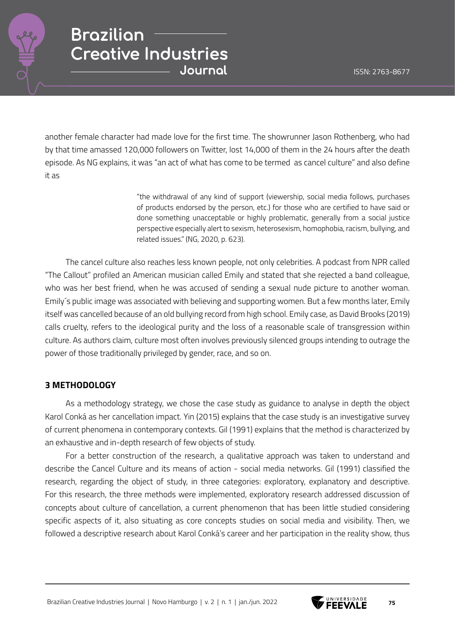

another female character had made love for the first time. The showrunner Jason Rothenberg, who had by that time amassed 120,000 followers on Twitter, lost 14,000 of them in the 24 hours after the death episode. As NG explains, it was "an act of what has come to be termed as cancel culture" and also define it as

> "the withdrawal of any kind of support (viewership, social media follows, purchases of products endorsed by the person, etc.) for those who are certified to have said or done something unacceptable or highly problematic, generally from a social justice perspective especially alert to sexism, heterosexism, homophobia, racism, bullying, and related issues." (NG, 2020, p. 623).

The cancel culture also reaches less known people, not only celebrities. A podcast from NPR called "The Callout" profiled an American musician called Emily and stated that she rejected a band colleague, who was her best friend, when he was accused of sending a sexual nude picture to another woman. Emily´s public image was associated with believing and supporting women. But a few months later, Emily itself was cancelled because of an old bullying record from high school. Emily case, as David Brooks (2019) calls cruelty, refers to the ideological purity and the loss of a reasonable scale of transgression within culture. As authors claim, culture most often involves previously silenced groups intending to outrage the power of those traditionally privileged by gender, race, and so on.

### **3 METHODOLOGY**

As a methodology strategy, we chose the case study as guidance to analyse in depth the object Karol Conká as her cancellation impact. Yin (2015) explains that the case study is an investigative survey of current phenomena in contemporary contexts. Gil (1991) explains that the method is characterized by an exhaustive and in-depth research of few objects of study.

For a better construction of the research, a qualitative approach was taken to understand and describe the Cancel Culture and its means of action - social media networks. Gil (1991) classified the research, regarding the object of study, in three categories: exploratory, explanatory and descriptive. For this research, the three methods were implemented, exploratory research addressed discussion of concepts about culture of cancellation, a current phenomenon that has been little studied considering specific aspects of it, also situating as core concepts studies on social media and visibility. Then, we followed a descriptive research about Karol Conká's career and her participation in the reality show, thus

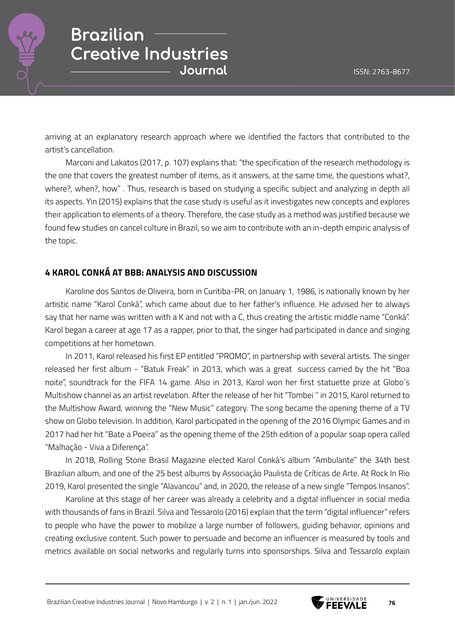

arriving at an explanatory research approach where we identified the factors that contributed to the artist's cancellation.

Marconi and Lakatos (2017, p. 107) explains that: "the specification of the research methodology is the one that covers the greatest number of items, as it answers, at the same time, the questions what?, where?, when?, how" . Thus, research is based on studying a specific subject and analyzing in depth all its aspects. Yin (2015) explains that the case study is useful as it investigates new concepts and explores their application to elements of a theory. Therefore, the case study as a method was justified because we found few studies on cancel culture in Brazil, so we aim to contribute with an in-depth empiric analysis of the topic.

### **4 KAROL CONKÁ AT BBB: ANALYSIS AND DISCUSSION**

Karoline dos Santos de Oliveira, born in Curitiba-PR, on January 1, 1986, is nationally known by her artistic name "Karol Conká", which came about due to her father's influence. He advised her to always say that her name was written with a K and not with a C, thus creating the artistic middle name "Conká". Karol began a career at age 17 as a rapper, prior to that, the singer had participated in dance and singing competitions at her hometown.

In 2011, Karol released his first EP entitled "PROMO", in partnership with several artists. The singer released her first album - "Batuk Freak" in 2013, which was a great success carried by the hit "Boa noite", soundtrack for the FIFA 14 game. Also in 2013, Karol won her first statuette prize at Globo´s Multishow channel as an artist revelation. After the release of her hit "Tombei '' in 2015, Karol returned to the Multishow Award, winning the "New Music" category. The song became the opening theme of a TV show on Globo television. In addition, Karol participated in the opening of the 2016 Olympic Games and in 2017 had her hit "Bate a Poeira" as the opening theme of the 25th edition of a popular soap opera called "Malhação - Viva a Diferença".

In 2018, Rolling Stone Brasil Magazine elected Karol Conká's album "Ambulante" the 34th best Brazilian album, and one of the 25 best albums by Associação Paulista de Críticas de Arte. At Rock In Rio 2019, Karol presented the single "Alavancou" and, in 2020, the release of a new single "Tempos Insanos".

Karoline at this stage of her career was already a celebrity and a digital influencer in social media with thousands of fans in Brazil. Silva and Tessarolo (2016) explain that the term "digital influencer" refers to people who have the power to mobilize a large number of followers, guiding behavior, opinions and creating exclusive content. Such power to persuade and become an influencer is measured by tools and metrics available on social networks and regularly turns into sponsorships. Silva and Tessarolo explain

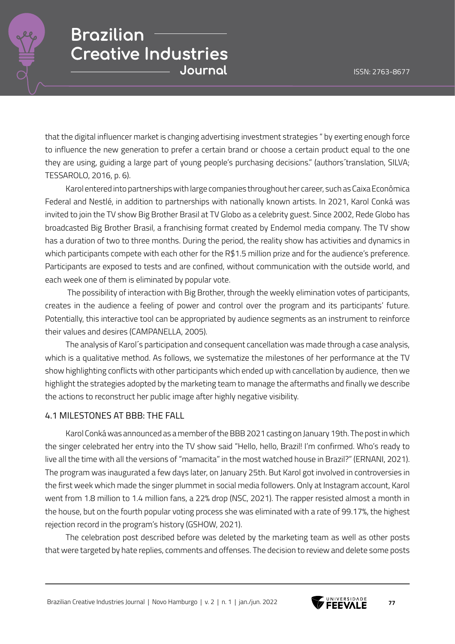

that the digital influencer market is changing advertising investment strategies " by exerting enough force to influence the new generation to prefer a certain brand or choose a certain product equal to the one they are using, guiding a large part of young people's purchasing decisions." (authors´translation, SILVA; TESSAROLO, 2016, p. 6).

Karol entered into partnerships with large companies throughout her career, such as Caixa Econômica Federal and Nestlé, in addition to partnerships with nationally known artists. In 2021, Karol Conká was invited to join the TV show Big Brother Brasil at TV Globo as a celebrity guest. Since 2002, Rede Globo has broadcasted Big Brother Brasil, a franchising format created by Endemol media company. The TV show has a duration of two to three months. During the period, the reality show has activities and dynamics in which participants compete with each other for the R\$1.5 million prize and for the audience's preference. Participants are exposed to tests and are confined, without communication with the outside world, and each week one of them is eliminated by popular vote.

 The possibility of interaction with Big Brother, through the weekly elimination votes of participants, creates in the audience a feeling of power and control over the program and its participants' future. Potentially, this interactive tool can be appropriated by audience segments as an instrument to reinforce their values and desires (CAMPANELLA, 2005).

The analysis of Karol´s participation and consequent cancellation was made through a case analysis, which is a qualitative method. As follows, we systematize the milestones of her performance at the TV show highlighting conflicts with other participants which ended up with cancellation by audience, then we highlight the strategies adopted by the marketing team to manage the aftermaths and finally we describe the actions to reconstruct her public image after highly negative visibility.

### 4.1 MILESTONES AT BBB: THE FALL

Karol Conká was announced as a member of the BBB 2021 casting on January 19th. The post in which the singer celebrated her entry into the TV show said "Hello, hello, Brazil! I'm confirmed. Who's ready to live all the time with all the versions of "mamacita" in the most watched house in Brazil?" (ERNANI, 2021). The program was inaugurated a few days later, on January 25th. But Karol got involved in controversies in the first week which made the singer plummet in social media followers. Only at Instagram account, Karol went from 1.8 million to 1.4 million fans, a 22% drop (NSC, 2021). The rapper resisted almost a month in the house, but on the fourth popular voting process she was eliminated with a rate of 99.17%, the highest rejection record in the program's history (GSHOW, 2021).

The celebration post described before was deleted by the marketing team as well as other posts that were targeted by hate replies, comments and offenses. The decision to review and delete some posts

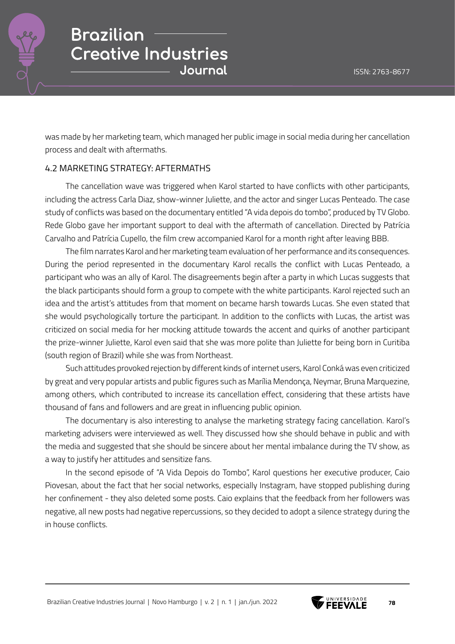

was made by her marketing team, which managed her public image in social media during her cancellation process and dealt with aftermaths.

### 4.2 MARKETING STRATEGY: AFTERMATHS

The cancellation wave was triggered when Karol started to have conflicts with other participants, including the actress Carla Diaz, show-winner Juliette, and the actor and singer Lucas Penteado. The case study of conflicts was based on the documentary entitled "A vida depois do tombo", produced by TV Globo. Rede Globo gave her important support to deal with the aftermath of cancellation. Directed by Patrícia Carvalho and Patrícia Cupello, the film crew accompanied Karol for a month right after leaving BBB.

The film narrates Karol and her marketing team evaluation of her performance and its consequences. During the period represented in the documentary Karol recalls the conflict with Lucas Penteado, a participant who was an ally of Karol. The disagreements begin after a party in which Lucas suggests that the black participants should form a group to compete with the white participants. Karol rejected such an idea and the artist's attitudes from that moment on became harsh towards Lucas. She even stated that she would psychologically torture the participant. In addition to the conflicts with Lucas, the artist was criticized on social media for her mocking attitude towards the accent and quirks of another participant the prize-winner Juliette, Karol even said that she was more polite than Juliette for being born in Curitiba (south region of Brazil) while she was from Northeast.

Such attitudes provoked rejection by different kinds of internet users, Karol Conká was even criticized by great and very popular artists and public figures such as Marília Mendonça, Neymar, Bruna Marquezine, among others, which contributed to increase its cancellation effect, considering that these artists have thousand of fans and followers and are great in influencing public opinion.

The documentary is also interesting to analyse the marketing strategy facing cancellation. Karol's marketing advisers were interviewed as well. They discussed how she should behave in public and with the media and suggested that she should be sincere about her mental imbalance during the TV show, as a way to justify her attitudes and sensitize fans.

In the second episode of "A Vida Depois do Tombo", Karol questions her executive producer, Caio Piovesan, about the fact that her social networks, especially Instagram, have stopped publishing during her confinement - they also deleted some posts. Caio explains that the feedback from her followers was negative, all new posts had negative repercussions, so they decided to adopt a silence strategy during the in house conflicts.

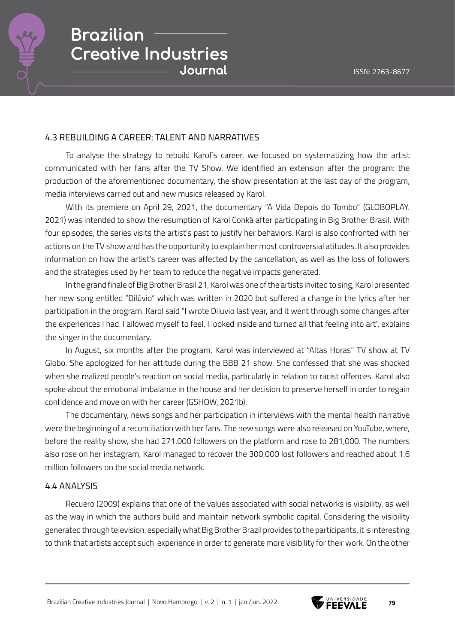

### 4.3 REBUILDING A CAREER: TALENT AND NARRATIVES

To analyse the strategy to rebuild Karol´s career, we focused on systematizing how the artist communicated with her fans after the TV Show. We identified an extension after the program: the production of the aforementioned documentary, the show presentation at the last day of the program, media interviews carried out and new musics released by Karol.

With its premiere on April 29, 2021, the documentary "A Vida Depois do Tombo" (GLOBOPLAY. 2021) was intended to show the resumption of Karol Conká after participating in Big Brother Brasil. With four episodes, the series visits the artist's past to justify her behaviors. Karol is also confronted with her actions on the TV show and has the opportunity to explain her most controversial atitudes. It also provides information on how the artist's career was affected by the cancellation, as well as the loss of followers and the strategies used by her team to reduce the negative impacts generated.

In the grand finale of Big Brother Brasil 21, Karol was one of the artists invited to sing, Karol presented her new song entitled "Dilúvio" which was written in 2020 but suffered a change in the lyrics after her participation in the program. Karol said "I wrote Diluvio last year, and it went through some changes after the experiences I had. I allowed myself to feel, I looked inside and turned all that feeling into art", explains the singer in the documentary.

In August, six months after the program, Karol was interviewed at "Altas Horas" TV show at TV Globo. She apologized for her attitude during the BBB 21 show. She confessed that she was shocked when she realized people's reaction on social media, particularly in relation to racist offences. Karol also spoke about the emotional imbalance in the house and her decision to preserve herself in order to regain confidence and move on with her career (GSHOW, 2021b).

The documentary, news songs and her participation in interviews with the mental health narrative were the beginning of a reconciliation with her fans. The new songs were also released on YouTube, where, before the reality show, she had 271,000 followers on the platform and rose to 281,000. The numbers also rose on her instagram, Karol managed to recover the 300,000 lost followers and reached about 1.6 million followers on the social media network.

#### 4.4 ANALYSIS

Recuero (2009) explains that one of the values associated with social networks is visibility, as well as the way in which the authors build and maintain network symbolic capital. Considering the visibility generated through television, especially what Big Brother Brazil provides to the participants, it is interesting to think that artists accept such experience in order to generate more visibility for their work. On the other

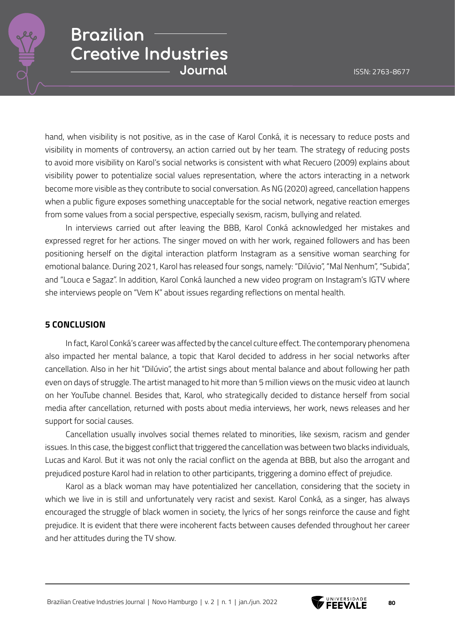

hand, when visibility is not positive, as in the case of Karol Conká, it is necessary to reduce posts and visibility in moments of controversy, an action carried out by her team. The strategy of reducing posts to avoid more visibility on Karol's social networks is consistent with what Recuero (2009) explains about visibility power to potentialize social values representation, where the actors interacting in a network become more visible as they contribute to social conversation. As NG (2020) agreed, cancellation happens when a public figure exposes something unacceptable for the social network, negative reaction emerges from some values from a social perspective, especially sexism, racism, bullying and related.

In interviews carried out after leaving the BBB, Karol Conká acknowledged her mistakes and expressed regret for her actions. The singer moved on with her work, regained followers and has been positioning herself on the digital interaction platform Instagram as a sensitive woman searching for emotional balance. During 2021, Karol has released four songs, namely: "Dilúvio", "Mal Nenhum", "Subida", and "Louca e Sagaz". In addition, Karol Conká launched a new video program on Instagram's IGTV where she interviews people on "Vem K" about issues regarding reflections on mental health.

#### **5 CONCLUSION**

In fact, Karol Conká's career was affected by the cancel culture effect. The contemporary phenomena also impacted her mental balance, a topic that Karol decided to address in her social networks after cancellation. Also in her hit "Dilúvio", the artist sings about mental balance and about following her path even on days of struggle. The artist managed to hit more than 5 million views on the music video at launch on her YouTube channel. Besides that, Karol, who strategically decided to distance herself from social media after cancellation, returned with posts about media interviews, her work, news releases and her support for social causes.

Cancellation usually involves social themes related to minorities, like sexism, racism and gender issues. In this case, the biggest conflict that triggered the cancellation was between two blacks individuals, Lucas and Karol. But it was not only the racial conflict on the agenda at BBB, but also the arrogant and prejudiced posture Karol had in relation to other participants, triggering a domino effect of prejudice.

Karol as a black woman may have potentialized her cancellation, considering that the society in which we live in is still and unfortunately very racist and sexist. Karol Conká, as a singer, has always encouraged the struggle of black women in society, the lyrics of her songs reinforce the cause and fight prejudice. It is evident that there were incoherent facts between causes defended throughout her career and her attitudes during the TV show.

Brazilian Creative Industries Journal | Novo Hamburgo | v. 2 | n. 1 | jan./jun. 2022 **80**<br>**80** FEEVALE

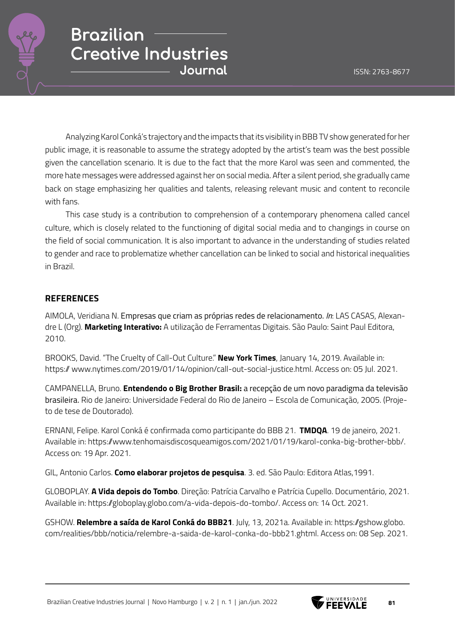

Analyzing Karol Conká's trajectory and the impacts that its visibility in BBB TV show generated for her public image, it is reasonable to assume the strategy adopted by the artist's team was the best possible given the cancellation scenario. It is due to the fact that the more Karol was seen and commented, the more hate messages were addressed against her on social media. After a silent period, she gradually came back on stage emphasizing her qualities and talents, releasing relevant music and content to reconcile with fans.

This case study is a contribution to comprehension of a contemporary phenomena called cancel culture, which is closely related to the functioning of digital social media and to changings in course on the field of social communication. It is also important to advance in the understanding of studies related to gender and race to problematize whether cancellation can be linked to social and historical inequalities in Brazil.

### **REFERENCES**

AIMOLA, Veridiana N. Empresas que criam as próprias redes de relacionamento. *In*: LAS CASAS, Alexandre L (Org). **Marketing Interativo:** A utilização de Ferramentas Digitais. São Paulo: Saint Paul Editora, 2010.

BROOKS, David. "The Cruelty of Call-Out Culture." **New York Times**, January 14, 2019. Available in: https:// www.nytimes.com/2019/01/14/opinion/call-out-social-justice.html. Access on: 05 Jul. 2021.

CAMPANELLA, Bruno. **Entendendo o Big Brother Brasil:** a recepção de um novo paradigma da televisão brasileira. Rio de Janeiro: Universidade Federal do Rio de Janeiro – Escola de Comunicação, 2005. (Projeto de tese de Doutorado).

ERNANI, Felipe. Karol Conká é confirmada como participante do BBB 21. **TMDQA**. 19 de janeiro, 2021. Available in: https://www.tenhomaisdiscosqueamigos.com/2021/01/19/karol-conka-big-brother-bbb/. Access on: 19 Apr. 2021.

GIL, Antonio Carlos. **Como elaborar projetos de pesquisa**. 3. ed. São Paulo: Editora Atlas,1991.

GLOBOPLAY. **A Vida depois do Tombo**. Direção: Patrícia Carvalho e Patrícia Cupello. Documentário, 2021. Available in: https://globoplay.globo.com/a-vida-depois-do-tombo/. Access on: 14 Oct. 2021.

GSHOW. **Relembre a saída de Karol Conká do BBB21**. July, 13, 2021a. Available in: https://gshow.globo. com/realities/bbb/noticia/relembre-a-saida-de-karol-conka-do-bbb21.ghtml. Access on: 08 Sep. 2021.